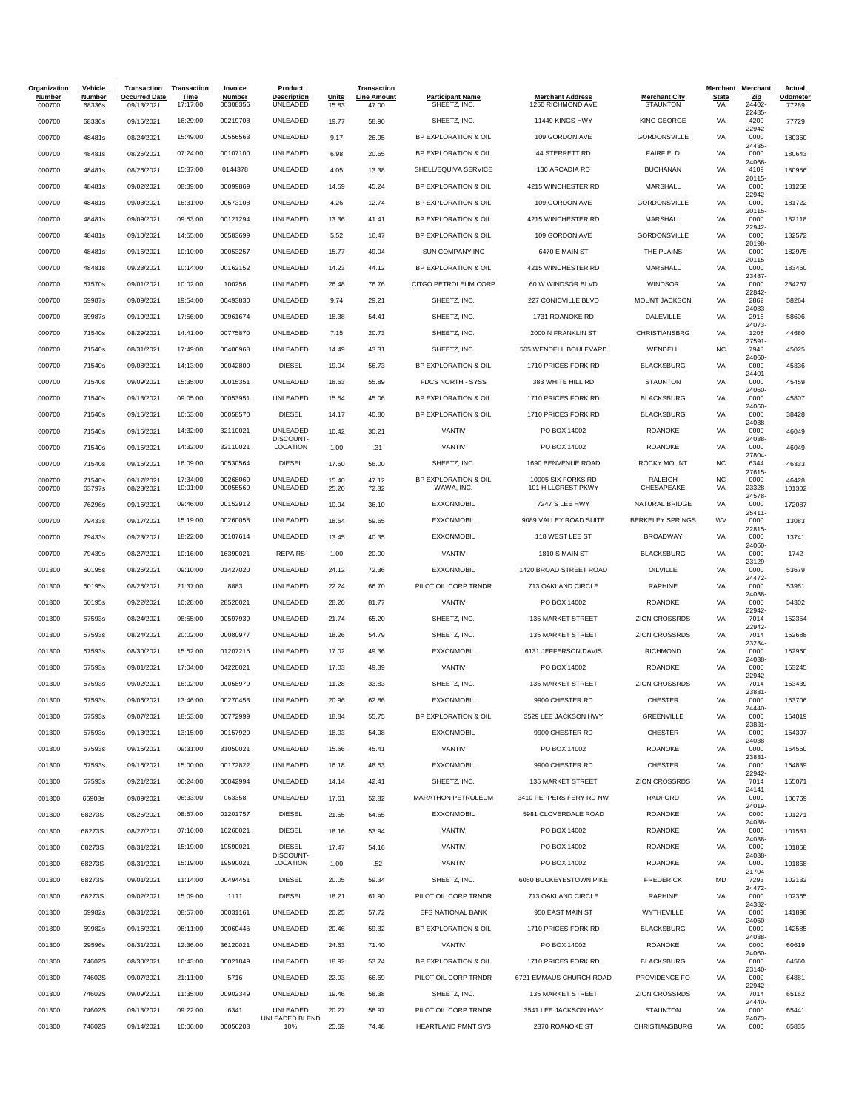| <b>Organization</b><br><b>Number</b><br>000700 | <b>Vehicle</b><br><b>Number</b><br>68336s | <b>Transaction</b><br><b>Occurred Date</b><br>09/13/2021 | <b>Transaction</b><br><b>Time</b><br>17:17:00 | Invoice<br><b>Number</b><br>00308356 | <b>Product</b><br><b>Description</b><br>UNLEADED | Units<br>15.83 | Transaction<br><u>Line Amount</u><br>47.00 | <b>Participant Name</b><br>SHEETZ, INC. | <b>Merchant Address</b><br>1250 RICHMOND AVE | <b>Merchant City</b><br><b>STAUNTON</b> | <b>State</b><br>VA | Merchant Merchant<br>Zip<br>24402 | <b>Actual</b><br>Odometer<br>77289 |
|------------------------------------------------|-------------------------------------------|----------------------------------------------------------|-----------------------------------------------|--------------------------------------|--------------------------------------------------|----------------|--------------------------------------------|-----------------------------------------|----------------------------------------------|-----------------------------------------|--------------------|-----------------------------------|------------------------------------|
| 000700                                         | 68336s                                    | 09/15/2021                                               | 16:29:00                                      | 00219708                             | UNLEADED                                         | 19.77          | 58.90                                      | SHEETZ, INC.                            | 11449 KINGS HWY                              | <b>KING GEORGE</b>                      | VA                 | 22485<br>4200                     | 77729                              |
| 000700                                         | 48481s                                    | 08/24/2021                                               | 15:49:00                                      | 00556563                             | UNLEADED                                         | 9.17           | 26.95                                      | BP EXPLORATION & OIL                    | 109 GORDON AVE                               | <b>GORDONSVILLE</b>                     | VA                 | 22942-<br>0000                    | 180360                             |
| 000700                                         | 48481s                                    | 08/26/2021                                               | 07:24:00                                      | 00107100                             | UNLEADED                                         | 6.98           | 20.65                                      | BP EXPLORATION & OIL                    | 44 STERRETT RD                               | <b>FAIRFIELD</b>                        | VA                 | 24435-<br>0000                    | 180643                             |
| 000700                                         | 48481s                                    | 08/26/2021                                               | 15:37:00                                      | 0144378                              | UNLEADED                                         | 4.05           | 13.38                                      | SHELL/EQUIVA SERVICE                    | 130 ARCADIA RD                               | <b>BUCHANAN</b>                         | VA                 | 24066-<br>4109                    | 180956                             |
| 000700                                         | 48481s                                    | 09/02/2021                                               | 08:39:00                                      | 00099869                             | UNLEADED                                         | 14.59          | 45.24                                      | BP EXPLORATION & OIL                    | 4215 WINCHESTER RD                           | MARSHALL                                | VA                 | 20115-<br>0000                    | 181268                             |
| 000700                                         | 48481s                                    | 09/03/2021                                               | 16:31:00                                      | 00573108                             | UNLEADED                                         | 4.26           | 12.74                                      | BP EXPLORATION & OIL                    | 109 GORDON AVE                               | <b>GORDONSVILLE</b>                     | VA                 | 22942-<br>0000                    | 181722                             |
| 000700                                         | 48481s                                    | 09/09/2021                                               | 09:53:00                                      | 00121294                             | UNLEADED                                         | 13.36          | 41.41                                      | BP EXPLORATION & OIL                    | 4215 WINCHESTER RD                           | <b>MARSHALL</b>                         | VA                 | 20115-<br>0000                    | 182118                             |
| 000700                                         | 48481s                                    | 09/10/2021                                               | 14:55:00                                      | 00583699                             | UNLEADED                                         | 5.52           | 16.47                                      | BP EXPLORATION & OIL                    | 109 GORDON AVE                               | <b>GORDONSVILLE</b>                     | VA                 | 22942-<br>0000                    | 182572                             |
| 000700                                         | 48481s                                    | 09/16/2021                                               | 10:10:00                                      | 00053257                             | UNLEADED                                         | 15.77          | 49.04                                      | <b>SUN COMPANY INC</b>                  | 6470 E MAIN ST                               | THE PLAINS                              | VA                 | 20198-<br>0000                    | 182975                             |
| 000700                                         | 48481s                                    | 09/23/2021                                               | 10:14:00                                      | 00162152                             | UNLEADED                                         | 14.23          | 44.12                                      | BP EXPLORATION & OIL                    | 4215 WINCHESTER RD                           | MARSHALL                                | VA                 | 20115-<br>0000                    | 183460                             |
|                                                |                                           |                                                          | 10:02:00                                      | 100256                               | UNLEADED                                         | 26.48          | 76.76                                      | CITGO PETROLEUM CORP                    | 60 W WINDSOR BLVD                            | <b>WINDSOR</b>                          | VA                 | 23487-<br>0000                    |                                    |
| 000700                                         | 57570s                                    | 09/01/2021                                               | 19:54:00                                      | 00493830                             | UNLEADED                                         | 9.74           |                                            | SHEETZ, INC.                            | 227 CONICVILLE BLVD                          | MOUNT JACKSON                           | VA                 | 22842-<br>2862                    | 234267                             |
| 000700                                         | 69987s                                    | 09/09/2021                                               |                                               |                                      |                                                  |                | 29.21                                      |                                         |                                              |                                         |                    | 24083-                            | 58264                              |
| 000700                                         | 69987s                                    | 09/10/2021                                               | 17:56:00                                      | 00961674                             | UNLEADED                                         | 18.38          | 54.41                                      | SHEETZ, INC.                            | 1731 ROANOKE RD                              | DALEVILLE                               | VA                 | 2916<br>24073                     | 58606                              |
| 000700                                         | 71540s                                    | 08/29/2021                                               | 14:41:00                                      | 00775870                             | UNLEADED                                         | 7.15           | 20.73                                      | SHEETZ, INC.                            | 2000 N FRANKLIN ST                           | CHRISTIANSBRG                           | VA                 | 1208<br>27591-                    | 44680                              |
| 000700                                         | 71540s                                    | 08/31/2021                                               | 17:49:00                                      | 00406968                             | UNLEADED                                         | 14.49          | 43.31                                      | SHEETZ, INC.                            | 505 WENDELL BOULEVARD                        | WENDELL                                 | <b>NC</b>          | 7948<br>24060-                    | 45025                              |
| 000700                                         | 71540s                                    | 09/08/2021                                               | 14:13:00                                      | 00042800                             | <b>DIESEL</b>                                    | 19.04          | 56.73                                      | BP EXPLORATION & OIL                    | 1710 PRICES FORK RD                          | <b>BLACKSBURG</b>                       | VA                 | 0000<br>24401-                    | 45336                              |
| 000700                                         | 71540s                                    | 09/09/2021                                               | 15:35:00                                      | 00015351                             | UNLEADED                                         | 18.63          | 55.89                                      | FDCS NORTH - SYSS                       | 383 WHITE HILL RD                            | <b>STAUNTON</b>                         | VA                 | 0000<br>24060-                    | 45459                              |
| 000700                                         | 71540s                                    | 09/13/2021                                               | 09:05:00                                      | 00053951                             | UNLEADED                                         | 15.54          | 45.06                                      | BP EXPLORATION & OIL                    | 1710 PRICES FORK RD                          | <b>BLACKSBURG</b>                       | VA                 | 0000<br>24060-                    | 45807                              |
| 000700                                         | 71540s                                    | 09/15/2021                                               | 10:53:00                                      | 00058570                             | <b>DIESEL</b>                                    | 14.17          | 40.80                                      | BP EXPLORATION & OIL                    | 1710 PRICES FORK RD                          | <b>BLACKSBURG</b>                       | VA                 | 0000<br>24038-                    | 38428                              |
| 000700                                         | 71540s                                    | 09/15/2021                                               | 14:32:00                                      | 32110021                             | UNLEADED<br>DISCOUNT-                            | 10.42          | 30.21                                      | VANTIV                                  | PO BOX 14002                                 | <b>ROANOKE</b>                          | VA                 | 0000<br>24038-                    | 46049                              |
| 000700                                         | 71540s                                    | 09/15/2021                                               | 14:32:00                                      | 32110021                             | LOCATION                                         | 1.00           | $-.31$                                     | VANTIV                                  | PO BOX 14002                                 | <b>ROANOKE</b>                          | VA                 | 0000<br>27804                     | 46049                              |
| 000700                                         | 71540s                                    | 09/16/2021                                               | 16:09:00                                      | 00530564                             | <b>DIESEL</b>                                    | 17.50          | 56.00                                      | SHEETZ, INC.                            | 1690 BENVENUE ROAD                           | <b>ROCKY MOUNT</b>                      | NC                 | 6344<br>27615                     | 46333                              |
| 000700                                         | 71540s                                    | 09/17/2021                                               | 17:34:00<br>10:01:00                          | 00268060<br>00055569                 | UNLEADED<br>UNLEADED                             | 15.40          | 47.12                                      | BP EXPLORATION & OIL<br>WAWA, INC.      | 10005 SIX FORKS RD<br>101 HILLCREST PKWY     | RALEIGH<br>CHESAPEAKE                   | NC<br>VA           | 0000<br>23328-                    | 46428                              |
| 000700                                         | 63797s                                    | 08/28/2021                                               |                                               |                                      |                                                  | 25.20          | 72.32                                      | <b>EXXONMOBIL</b>                       |                                              |                                         | VA                 | 24578-                            | 101302                             |
| 000700                                         | 76296s                                    | 09/16/2021                                               | 09:46:00                                      | 00152912                             | UNLEADED                                         | 10.94          | 36.10                                      |                                         | 7247 S LEE HWY                               | NATURAL BRIDGE                          |                    | 0000<br>25411-                    | 172087                             |
| 000700                                         | 79433s                                    | 09/17/2021                                               | 15:19:00                                      | 00260058                             | UNLEADED                                         | 18.64          | 59.65                                      | <b>EXXONMOBIL</b>                       | 9089 VALLEY ROAD SUITE                       | <b>BERKELEY SPRINGS</b>                 | WV                 | 0000<br>22815-                    | 13083                              |
| 000700                                         | 79433s                                    | 09/23/2021                                               | 18:22:00                                      | 00107614                             | UNLEADED                                         | 13.45          | 40.35                                      | <b>EXXONMOBIL</b>                       | 118 WEST LEE ST                              | <b>BROADWAY</b>                         | VA                 | 0000<br>24060-                    | 13741                              |
| 000700                                         | 79439s                                    | 08/27/2021                                               | 10:16:00                                      | 16390021                             | <b>REPAIRS</b>                                   | 1.00           | 20.00                                      | VANTIV                                  | 1810 S MAIN ST                               | <b>BLACKSBURG</b>                       | VA                 | 0000<br>23129-                    | 1742                               |
| 001300                                         | 50195s                                    | 08/26/2021                                               | 09:10:00                                      | 01427020                             | UNLEADED                                         | 24.12          | 72.36                                      | <b>EXXONMOBIL</b>                       | 1420 BROAD STREET ROAD                       | OILVILLE                                | VA                 | 0000<br>24472-                    | 53679                              |
| 001300                                         | 50195s                                    | 08/26/2021                                               | 21:37:00                                      | 8883                                 | UNLEADED                                         | 22.24          | 66.70                                      | PILOT OIL CORP TRNDR                    | 713 OAKLAND CIRCLE                           | <b>RAPHINE</b>                          | VA                 | 0000<br>24038-                    | 53961                              |
| 001300                                         | 50195s                                    | 09/22/2021                                               | 10:28:00                                      | 28520021                             | UNLEADED                                         | 28.20          | 81.77                                      | VANTIV                                  | PO BOX 14002                                 | <b>ROANOKE</b>                          | VA                 | 0000<br>22942-                    | 54302                              |
| 001300                                         | 57593s                                    | 08/24/2021                                               | 08:55:00                                      | 00597939                             | UNLEADED                                         | 21.74          | 65.20                                      | SHEETZ, INC.                            | 135 MARKET STREET                            | ZION CROSSRDS                           | VA                 | 7014<br>22942-                    | 152354                             |
| 001300                                         | 57593s                                    | 08/24/2021                                               | 20:02:00                                      | 00080977                             | UNLEADED                                         | 18.26          | 54.79                                      | SHEETZ, INC.                            | 135 MARKET STREET                            | <b>ZION CROSSRDS</b>                    | VA                 | 7014<br>23234                     | 152688                             |
| 001300                                         | 57593s                                    | 08/30/2021                                               | 15:52:00                                      | 01207215                             | UNLEADED                                         | 17.02          | 49.36                                      | <b>EXXONMOBIL</b>                       | 6131 JEFFERSON DAVIS                         | <b>RICHMOND</b>                         | VA                 | 0000<br>24038-                    | 152960                             |
| 001300                                         | 57593s                                    | 09/01/2021                                               | 17:04:00                                      | 04220021                             | UNLEADED                                         | 17.03          | 49.39                                      | VANTIV                                  | PO BOX 14002                                 | <b>ROANOKE</b>                          | VA                 | 0000<br>22942-                    | 153245                             |
| 001300                                         | 57593s                                    | 09/02/2021                                               | 16:02:00                                      | 00058979                             | UNLEADED                                         | 11.28          | 33.83                                      | SHEETZ, INC.                            | 135 MARKET STREET                            | <b>ZION CROSSRDS</b>                    | VA                 | 7014<br>23831-                    | 153439                             |
| 001300                                         | 57593s                                    | 09/06/2021                                               | 13:46:00                                      | 00270453                             | UNLEADED                                         | 20.96          | 62.86                                      | <b>EXXONMOBIL</b>                       | 9900 CHESTER RD                              | <b>CHESTER</b>                          | VA                 | 0000<br>24440-                    | 153706                             |
| 001300                                         | 57593s                                    | 09/07/2021                                               | 18:53:00                                      | 00772999                             | UNLEADED                                         | 18.84          | 55.75                                      | BP EXPLORATION & OIL                    | 3529 LEE JACKSON HWY                         | GREENVILLE                              | VA                 | 0000<br>23831-                    | 154019                             |
| 001300                                         | 57593s                                    | 09/13/2021                                               | 13:15:00                                      | 00157920                             | UNLEADED                                         | 18.03          | 54.08                                      | <b>EXXONMOBIL</b>                       | 9900 CHESTER RD                              | <b>CHESTER</b>                          | VA                 | 0000                              | 154307                             |
| 001300                                         | 57593s                                    | 09/15/2021                                               | 09:31:00                                      | 31050021                             | UNLEADED                                         | 15.66          | 45.41                                      | VANTIV                                  | PO BOX 14002                                 | ROANOKE                                 | VA                 | 24038-<br>0000                    | 154560                             |
| 001300                                         | 57593s                                    | 09/16/2021                                               | 15:00:00                                      | 00172822                             | UNLEADED                                         | 16.18          | 48.53                                      | <b>EXXONMOBIL</b>                       | 9900 CHESTER RD                              | <b>CHESTER</b>                          | VA                 | 23831-<br>0000                    | 154839                             |
| 001300                                         | 57593s                                    | 09/21/2021                                               | 06:24:00                                      | 00042994                             | UNLEADED                                         | 14.14          | 42.41                                      | SHEETZ, INC.                            | 135 MARKET STREET                            | <b>ZION CROSSRDS</b>                    | VA                 | 22942-<br>7014                    | 155071                             |
| 001300                                         | 66908s                                    | 09/09/2021                                               | 06:33:00                                      | 063358                               | UNLEADED                                         | 17.61          | 52.82                                      | MARATHON PETROLEUM                      | 3410 PEPPERS FERY RD NW                      | RADFORD                                 | VA                 | 24141-<br>0000                    | 106769                             |
| 001300                                         | 68273S                                    | 08/25/2021                                               | 08:57:00                                      | 01201757                             | <b>DIESEL</b>                                    | 21.55          | 64.65                                      | EXXONMOBIL                              | 5981 CLOVERDALE ROAD                         | ROANOKE                                 | VA                 | 24019-<br>0000                    | 101271                             |
| 001300                                         | 68273S                                    | 08/27/2021                                               | 07:16:00                                      | 16260021                             | <b>DIESEL</b>                                    | 18.16          | 53.94                                      | VANTIV                                  | PO BOX 14002                                 | <b>ROANOKE</b>                          | VA                 | 24038-<br>0000                    | 101581                             |
| 001300                                         | 68273S                                    | 08/31/2021                                               | 15:19:00                                      | 19590021                             | <b>DIESEL</b>                                    | 17.47          | 54.16                                      | VANTIV                                  | PO BOX 14002                                 | <b>ROANOKE</b>                          | VA                 | 24038-<br>0000                    | 101868                             |
| 001300                                         | 68273S                                    | 08/31/2021                                               | 15:19:00                                      | 19590021                             | DISCOUNT-<br>LOCATION                            | 1.00           | $-.52$                                     | VANTIV                                  | PO BOX 14002                                 | ROANOKE                                 | VA                 | 24038-<br>0000                    | 101868                             |
| 001300                                         | 68273S                                    | 09/01/2021                                               | 11:14:00                                      | 00494451                             | <b>DIESEL</b>                                    | 20.05          | 59.34                                      | SHEETZ, INC.                            | 6050 BUCKEYESTOWN PIKE                       | <b>FREDERICK</b>                        | MD                 | 21704-<br>7293                    | 102132                             |
| 001300                                         | 68273S                                    | 09/02/2021                                               | 15:09:00                                      | 1111                                 | <b>DIESEL</b>                                    | 18.21          | 61.90                                      | PILOT OIL CORP TRNDR                    | 713 OAKLAND CIRCLE                           | <b>RAPHINE</b>                          | VA                 | 24472-<br>0000                    | 102365                             |
| 001300                                         | 69982s                                    | 08/31/2021                                               | 08:57:00                                      | 00031161                             | UNLEADED                                         | 20.25          | 57.72                                      | <b>EFS NATIONAL BANK</b>                | 950 EAST MAIN ST                             | WYTHEVILLE                              | VA                 | 24382-<br>0000                    | 141898                             |
|                                                | 69982s                                    | 09/16/2021                                               | 08:11:00                                      | 00060445                             | UNLEADED                                         | 20.46          | 59.32                                      | BP EXPLORATION & OIL                    | 1710 PRICES FORK RD                          | <b>BLACKSBURG</b>                       | VA                 | 24060-<br>0000                    | 142585                             |
| 001300                                         |                                           |                                                          |                                               |                                      |                                                  |                |                                            |                                         |                                              |                                         |                    | 24038-                            |                                    |
| 001300                                         | 29596s                                    | 08/31/2021                                               | 12:36:00                                      | 36120021                             | UNLEADED                                         | 24.63          | 71.40                                      | VANTIV                                  | PO BOX 14002                                 | ROANOKE                                 | VA                 | 0000<br>24060-                    | 60619                              |
| 001300                                         | 74602S                                    | 08/30/2021                                               | 16:43:00                                      | 00021849                             | UNLEADED                                         | 18.92          | 53.74                                      | BP EXPLORATION & OIL                    | 1710 PRICES FORK RD                          | <b>BLACKSBURG</b>                       | VA                 | 0000<br>23140-                    | 64560                              |
| 001300                                         | 74602S                                    | 09/07/2021                                               | 21:11:00                                      | 5716                                 | UNLEADED                                         | 22.93          | 66.69                                      | PILOT OIL CORP TRNDR                    | 6721 EMMAUS CHURCH ROAD                      | PROVIDENCE FO                           | VA                 | 0000<br>22942-                    | 64881                              |
| 001300                                         | 74602S                                    | 09/09/2021                                               | 11:35:00                                      | 00902349                             | UNLEADED                                         | 19.46          | 58.38                                      | SHEETZ, INC.                            | 135 MARKET STREET                            | <b>ZION CROSSRDS</b>                    | VA                 | 7014<br>24440-                    | 65162                              |
| 001300                                         | 74602S                                    | 09/13/2021                                               | 09:22:00                                      | 6341                                 | UNLEADED<br>UNLEADED BLEND                       | 20.27          | 58.97                                      | PILOT OIL CORP TRNDR                    | 3541 LEE JACKSON HWY                         | <b>STAUNTON</b>                         | VA                 | 0000<br>24073-                    | 65441                              |
| 001300                                         | 74602S                                    | 09/14/2021                                               | 10:06:00                                      | 00056203                             | 10%                                              | 25.69          | 74.48                                      | HEARTLAND PMNT SYS                      | 2370 ROANOKE ST                              | CHRISTIANSBURG                          | VA                 | 0000                              | 65835                              |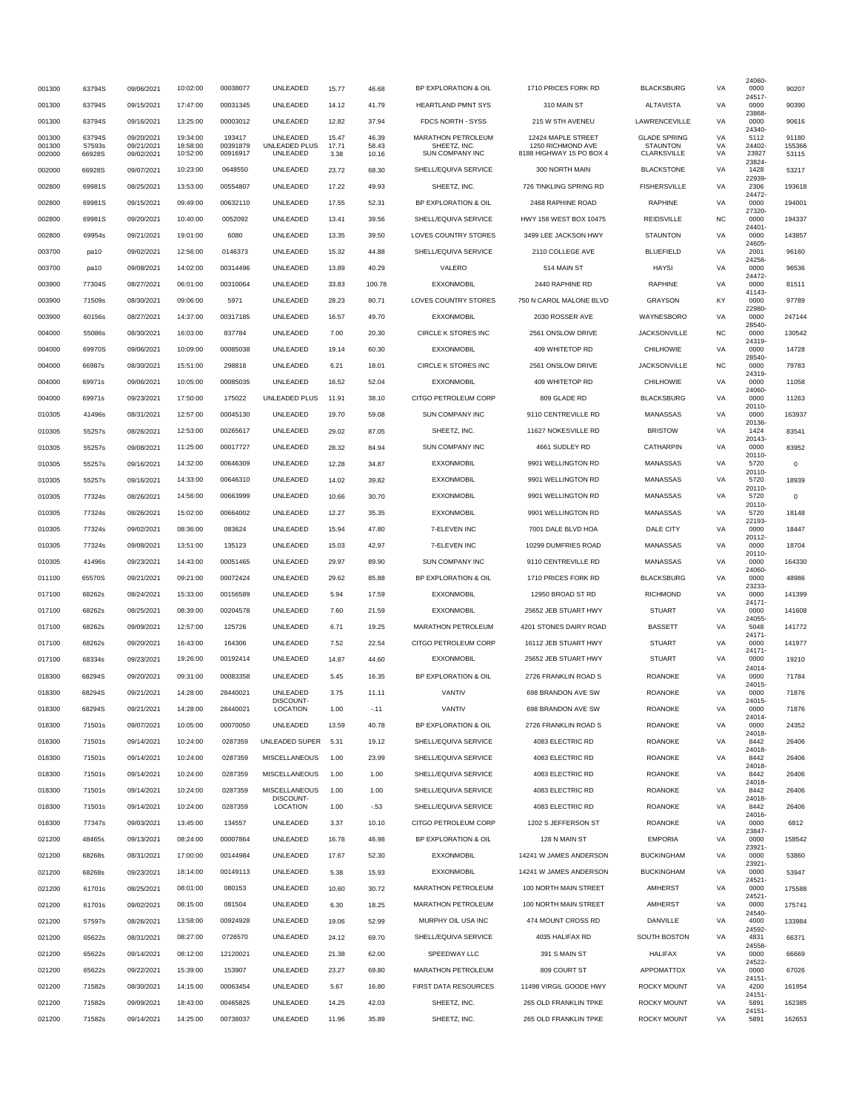| 001300           | 63794S           | 09/06/2021               | 10:02:00             | 00038077           | UNLEADED                          | 15.77          | 46.68          | BP EXPLORATION & OIL               | 1710 PRICES FORK RD                     | <b>BLACKSBURG</b>                      | VA        | 24060<br>0000         | 90207           |
|------------------|------------------|--------------------------|----------------------|--------------------|-----------------------------------|----------------|----------------|------------------------------------|-----------------------------------------|----------------------------------------|-----------|-----------------------|-----------------|
|                  |                  |                          |                      |                    |                                   |                |                |                                    |                                         |                                        |           | 24517-                |                 |
| 001300           | 63794S           | 09/15/2021               | 17:47:00             | 00031345           | UNLEADED                          | 14.12          | 41.79          | <b>HEARTLAND PMNT SYS</b>          | 310 MAIN ST                             | <b>ALTAVISTA</b>                       | VA        | 0000<br>23868         | 90390           |
| 001300           | 63794S           | 09/16/2021               | 13:25:00             | 00003012           | UNLEADED                          | 12.82          | 37.94          | FDCS NORTH - SYSS                  | 215 W 5TH AVENEU                        | LAWRENCEVILLE                          | VA        | 0000<br>24340         | 90616           |
| 001300<br>001300 | 63794S<br>57593s | 09/20/2021<br>09/21/2021 | 19:34:00<br>18:58:00 | 193417<br>00391879 | UNLEADED<br>UNLEADED PLUS         | 15.47<br>17.71 | 46.39<br>58.43 | MARATHON PETROLEUM<br>SHEETZ, INC. | 12424 MAPLE STREET<br>1250 RICHMOND AVE | <b>GLADE SPRING</b><br><b>STAUNTON</b> | VA<br>VA  | 5112<br>24402-        | 91180<br>155366 |
| 002000           | 66928S           | 09/02/2021               | 10:52:00             | 00916917           | UNLEADED                          | 3.38           | 10.16          | <b>SUN COMPANY INC</b>             | 8188 HIGHWAY 15 PO BOX 4                | <b>CLARKSVILLE</b>                     | VA        | 23927                 | 53115           |
| 002000           | 66928S           | 09/07/2021               | 10:23:00             | 0648550            | UNLEADED                          | 23.72          | 68.30          | SHELL/EQUIVA SERVICE               | 300 NORTH MAIN                          | <b>BLACKSTONE</b>                      | VA        | 23824<br>1428         | 53217           |
| 002800           | 69981S           | 08/25/2021               | 13:53:00             | 00554807           | UNLEADED                          | 17.22          | 49.93          | SHEETZ, INC.                       | 726 TINKLING SPRING RD                  | <b>FISHERSVILLE</b>                    | VA        | 22939<br>2306         | 193618          |
| 002800           | 69981S           | 09/15/2021               | 09:49:00             | 00632110           | UNLEADED                          | 17.55          | 52.31          | BP EXPLORATION & OIL               | 2468 RAPHINE ROAD                       | <b>RAPHINE</b>                         | VA        | 24472-<br>0000        | 194001          |
|                  |                  |                          |                      |                    |                                   |                |                |                                    |                                         |                                        |           | 27320                 |                 |
| 002800           | 69981S           | 09/20/2021               | 10:40:00             | 0052092            | UNLEADED                          | 13.41          | 39.56          | SHELL/EQUIVA SERVICE               | HWY 158 WEST BOX 10475                  | <b>REIDSVILLE</b>                      | <b>NC</b> | 0000<br>24401         | 194337          |
| 002800           | 69954s           | 09/21/2021               | 19:01:00             | 6080               | UNLEADED                          | 13.35          | 39.50          | <b>LOVES COUNTRY STORES</b>        | 3499 LEE JACKSON HWY                    | <b>STAUNTON</b>                        | VA        | 0000<br>24605         | 143857          |
| 003700           | pa10             | 09/02/2021               | 12:56:00             | 0146373            | UNLEADED                          | 15.32          | 44.88          | SHELL/EQUIVA SERVICE               | 2110 COLLEGE AVE                        | <b>BLUEFIELD</b>                       | VA        | 2001<br>24256         | 96160           |
| 003700           | pa10             | 09/08/2021               | 14:02:00             | 00314496           | UNLEADED                          | 13.89          | 40.29          | VALERO                             | 514 MAIN ST                             | <b>HAYSI</b>                           | VA        | 0000                  | 96536           |
| 003900           | 77304S           | 08/27/2021               | 06:01:00             | 00310064           | UNLEADED                          | 33.83          | 100.78         | <b>EXXONMOBIL</b>                  | 2440 RAPHINE RD                         | <b>RAPHINE</b>                         | VA        | 24472-<br>0000        | 81511           |
| 003900           | 71509s           | 08/30/2021               | 09:06:00             | 5971               | UNLEADED                          | 28.23          | 80.71          | LOVES COUNTRY STORES               | 750 N CAROL MALONE BLVD                 | <b>GRAYSON</b>                         | KY        | 41143<br>0000         | 97789           |
| 003900           | 60156s           | 08/27/2021               | 14:37:00             | 00317185           | UNLEADED                          | 16.57          | 49.70          | <b>EXXONMOBIL</b>                  | 2030 ROSSER AVE                         | WAYNESBORO                             | VA        | 22980-<br>0000        | 247144          |
|                  |                  |                          | 16:03:00             | 837784             | UNLEADED                          | 7.00           |                | CIRCLE K STORES INC                | 2561 ONSLOW DRIVE                       | <b>JACKSONVILLE</b>                    | <b>NC</b> | 28540<br>0000         | 130542          |
| 004000           | 55086s           | 08/30/2021               |                      |                    |                                   |                | 20.30          |                                    |                                         |                                        |           | 24319                 |                 |
| 004000           | 69970S           | 09/06/2021               | 10:09:00             | 00085038           | UNLEADED                          | 19.14          | 60.30          | <b>EXXONMOBIL</b>                  | 409 WHITETOP RD                         | <b>CHILHOWIE</b>                       | VA        | 0000<br>28540         | 14728           |
| 004000           | 66987s           | 08/30/2021               | 15:51:00             | 298818             | UNLEADED                          | 6.21           | 18.01          | CIRCLE K STORES INC                | 2561 ONSLOW DRIVE                       | <b>JACKSONVILLE</b>                    | <b>NC</b> | 0000<br>24319         | 79783           |
| 004000           | 69971s           | 09/06/2021               | 10:05:00             | 00085035           | UNLEADED                          | 16.52          | 52.04          | <b>EXXONMOBIL</b>                  | 409 WHITETOP RD                         | <b>CHILHOWIE</b>                       | VA        | 0000<br>24060         | 11058           |
| 004000           | 69971s           | 09/23/2021               | 17:50:00             | 175022             | UNLEADED PLUS                     | 11.91          | 38.10          | CITGO PETROLEUM CORP               | 809 GLADE RD                            | <b>BLACKSBURG</b>                      | VA        | 0000                  | 11263           |
| 010305           | 41496s           | 08/31/2021               | 12:57:00             | 00045130           | UNLEADED                          | 19.70          | 59.08          | <b>SUN COMPANY INC</b>             | 9110 CENTREVILLE RD                     | <b>MANASSAS</b>                        | VA        | 20110-<br>0000        | 163937          |
| 010305           | 55257s           | 08/26/2021               | 12:53:00             | 00265617           | UNLEADED                          | 29.02          | 87.05          | SHEETZ, INC.                       | 11627 NOKESVILLE RD                     | <b>BRISTOW</b>                         | VA        | 20136<br>1424         | 83541           |
| 010305           | 55257s           | 09/08/2021               | 11:25:00             | 00017727           | UNLEADED                          | 28.32          | 84.94          | SUN COMPANY INC                    | 4661 SUDLEY RD                          | CATHARPIN                              | VA        | 20143<br>0000         | 83952           |
|                  | 55257s           |                          |                      |                    |                                   |                |                |                                    |                                         |                                        |           | 20110-                |                 |
| 010305           |                  | 09/16/2021               | 14:32:00             | 00646309           | UNLEADED                          | 12.28          | 34.87          | <b>EXXONMOBIL</b>                  | 9901 WELLINGTON RD                      | MANASSAS                               | VA        | 5720<br>20110-        | $^{\circ}$      |
| 010305           | 55257s           | 09/16/2021               | 14:33:00             | 00646310           | UNLEADED                          | 14.02          | 39.82          | <b>EXXONMOBIL</b>                  | 9901 WELLINGTON RD                      | MANASSAS                               | VA        | 5720<br>20110-        | 18939           |
| 010305           | 77324s           | 08/26/2021               | 14:56:00             | 00663999           | UNLEADED                          | 10.66          | 30.70          | <b>EXXONMOBIL</b>                  | 9901 WELLINGTON RD                      | <b>MANASSAS</b>                        | VA        | 5720<br>20110         | $\mathbf 0$     |
| 010305           | 77324s           | 08/26/2021               | 15:02:00             | 00664002           | UNLEADED                          | 12.27          | 35.35          | <b>EXXONMOBIL</b>                  | 9901 WELLINGTON RD                      | MANASSAS                               | VA        | 5720<br>22193         | 18148           |
| 010305           | 77324s           | 09/02/2021               | 08:36:00             | 083624             | UNLEADED                          | 15.94          | 47.80          | 7-ELEVEN INC                       | 7001 DALE BLVD HOA                      | DALE CITY                              | VA        | 0000                  | 18447           |
| 010305           | 77324s           | 09/08/2021               | 13:51:00             | 135123             | UNLEADED                          | 15.03          | 42.97          | 7-ELEVEN INC                       | 10299 DUMFRIES ROAD                     | <b>MANASSAS</b>                        | VA        | 20112-<br>0000        | 18704           |
| 010305           | 41496s           | 09/23/2021               | 14:43:00             | 00051465           | UNLEADED                          | 29.97          | 89.90          | <b>SUN COMPANY INC</b>             | 9110 CENTREVILLE RD                     | <b>MANASSAS</b>                        | VA        | 20110-<br>0000        | 164330          |
| 011100           | 65570S           | 09/21/2021               | 09:21:00             | 00072424           | UNLEADED                          | 29.62          | 85.88          | BP EXPLORATION & OIL               | 1710 PRICES FORK RD                     | <b>BLACKSBURG</b>                      | VA        | 24060<br>0000         | 48986           |
|                  | 68262s           |                          | 15:33:00             | 00156589           | UNLEADED                          | 5.94           |                | <b>EXXONMOBIL</b>                  | 12950 BROAD ST RD                       | <b>RICHMOND</b>                        | VA        | 23233-<br>0000        | 141399          |
| 017100           |                  | 08/24/2021               |                      |                    |                                   |                | 17.59          |                                    |                                         |                                        |           | 24171-                |                 |
| 017100           | 68262s           | 08/25/2021               | 08:39:00             | 00204578           | UNLEADED                          | 7.60           | 21.59          | <b>EXXONMOBIL</b>                  | 25652 JEB STUART HWY                    | <b>STUART</b>                          | VA        | 0000<br>24055         | 141608          |
| 017100           | 68262s           | 09/09/2021               | 12:57:00             | 125726             | UNLEADED                          | 6.71           | 19.25          | <b>MARATHON PETROLEUM</b>          | 4201 STONES DAIRY ROAD                  | <b>BASSETT</b>                         | VA        | 5048<br>24171-        | 141772          |
| 017100           | 68262s           | 09/20/2021               | 16:43:00             | 164306             | UNLEADED                          | 7.52           | 22.54          | CITGO PETROLEUM CORP               | 16112 JEB STUART HWY                    | <b>STUART</b>                          | VA        | 0000<br>24171         | 141977          |
| 017100           | 68334s           | 09/23/2021               | 19:26:00             | 00192414           | UNLEADED                          | 14.87          | 44.60          | <b>EXXONMOBIL</b>                  | 25652 JEB STUART HWY                    | <b>STUART</b>                          | VA        | 0000<br>24014         | 19210           |
| 018300           | 68294S           | 09/20/2021               | 09:31:00             | 00083358           | UNLEADED                          | 5.45           | 16.35          | BP EXPLORATION & OIL               | 2726 FRANKLIN ROAD S                    | ROANOKE                                | VA        | 0000                  | 71784           |
| 018300           | 68294S           | 09/21/2021               | 14:28:00             | 28440021           | UNLEADED                          | 3.75           | 11.11          | VANTIV                             | 698 BRANDON AVE SW                      | <b>ROANOKE</b>                         | VA        | 24015<br>0000         | 71876           |
| 018300           | 68294S           | 09/21/2021               | 14:28:00             | 28440021           | DISCOUNT-<br><b>LOCATION</b>      | 1.00           | $-11$          | VANTIV                             | 698 BRANDON AVE SW                      | <b>ROANOKE</b>                         | VA        | 24015-<br><b>OOOO</b> | 71876           |
| 018300           | 71501s           | 09/07/2021               | 10:05:00             | 00070050           | UNLEADED                          | 13.59          | 40.78          | BP EXPLORATION & OIL               | 2726 FRANKLIN ROAD S                    | <b>ROANOKE</b>                         | VA        | 24014-<br>0000        | 24352           |
| 018300           | 71501s           | 09/14/2021               | 10:24:00             | 0287359            | UNLEADED SUPER                    | 5.31           | 19.12          | SHELL/EQUIVA SERVICE               | 4083 ELECTRIC RD                        | <b>ROANOKE</b>                         | VA        | 24018<br>8442         | 26406           |
|                  |                  |                          |                      |                    |                                   |                |                |                                    |                                         |                                        |           | 24018                 |                 |
| 018300           | 71501s           | 09/14/2021               | 10:24:00             | 0287359            | MISCELLANEOUS                     | 1.00           | 23.99          | SHELL/EQUIVA SERVICE               | 4083 ELECTRIC RD                        | ROANOKE                                | VA        | 8442<br>24018-        | 26406           |
| 018300           | 71501s           | 09/14/2021               | 10:24:00             | 0287359            | MISCELLANEOUS                     | 1.00           | 1.00           | SHELL/EQUIVA SERVICE               | 4083 ELECTRIC RD                        | <b>ROANOKE</b>                         | VA        | 8442<br>24018         | 26406           |
| 018300           | 71501s           | 09/14/2021               | 10:24:00             | 0287359            | <b>MISCELLANEOUS</b><br>DISCOUNT- | 1.00           | 1.00           | SHELL/EQUIVA SERVICE               | 4083 ELECTRIC RD                        | <b>ROANOKE</b>                         | VA        | 8442<br>24018         | 26406           |
| 018300           | 71501s           | 09/14/2021               | 10:24:00             | 0287359            | LOCATION                          | 1.00           | $-.53$         | SHELL/EQUIVA SERVICE               | 4083 ELECTRIC RD                        | ROANOKE                                | VA        | 8442                  | 26406           |
| 018300           | 77347s           | 09/03/2021               | 13:45:00             | 134557             | UNLEADED                          | 3.37           | 10.10          | CITGO PETROLEUM CORP               | 1202 S JEFFERSON ST                     | ROANOKE                                | VA        | 24016<br>0000         | 6812            |
| 021200           | 48465s           | 09/13/2021               | 08:24:00             | 00007864           | UNLEADED                          | 16.78          | 46.98          | BP EXPLORATION & OIL               | 128 N MAIN ST                           | <b>EMPORIA</b>                         | VA        | 23847<br>0000         | 158542          |
| 021200           | 68268s           | 08/31/2021               | 17:00:00             | 00144984           | UNLEADED                          | 17.67          | 52.30          | <b>EXXONMOBIL</b>                  | 14241 W JAMES ANDERSON                  | <b>BUCKINGHAM</b>                      | VA        | 23921-<br>0000        | 53860           |
| 021200           | 68268s           | 09/23/2021               | 18:14:00             | 00149113           | UNLEADED                          | 5.38           | 15.93          | <b>EXXONMOBIL</b>                  | 14241 W JAMES ANDERSON                  | <b>BUCKINGHAM</b>                      | VA        | 23921-<br>0000        | 53947           |
|                  |                  |                          |                      |                    |                                   |                |                |                                    |                                         |                                        |           | 24521-                |                 |
| 021200           | 61701s           | 08/25/2021               | 08:01:00             | 080153             | UNLEADED                          | 10.60          | 30.72          | MARATHON PETROLEUM                 | 100 NORTH MAIN STREET                   | AMHERST                                | VA        | 0000<br>24521-        | 175588          |
| 021200           | 61701s           | 09/02/2021               | 08:15:00             | 081504             | UNLEADED                          | 6.30           | 18.25          | <b>MARATHON PETROLEUM</b>          | 100 NORTH MAIN STREET                   | AMHERST                                | VA        | 0000<br>24540         | 175741          |
| 021200           | 57597s           | 08/26/2021               | 13:58:00             | 00924928           | UNLEADED                          | 19.06          | 52.99          | MURPHY OIL USA INC                 | 474 MOUNT CROSS RD                      | DANVILLE                               | VA        | 4000<br>24592         | 133984          |
| 021200           | 65622s           | 08/31/2021               | 08:27:00             | 0726570            | UNLEADED                          | 24.12          | 69.70          | SHELL/EQUIVA SERVICE               | 4035 HALIFAX RD                         | SOUTH BOSTON                           | VA        | 4831                  | 66371           |
| 021200           | 65622s           | 09/14/2021               | 08:12:00             | 12120021           | UNLEADED                          | 21.38          | 62.00          | SPEEDWAY LLC                       | 391 S MAIN ST                           | <b>HALIFAX</b>                         | VA        | 24558<br>0000         | 66669           |
| 021200           | 65622s           | 09/22/2021               | 15:39:00             | 153907             | UNLEADED                          | 23.27          | 69.80          | MARATHON PETROLEUM                 | 809 COURT ST                            | <b>APPOMATTOX</b>                      | VA        | 24522<br>0000         | 67026           |
| 021200           | 71582s           | 08/30/2021               | 14:15:00             | 00063454           | UNLEADED                          | 5.67           | 16.80          | FIRST DATA RESOURCES               | 11498 VIRGIL GOODE HWY                  | <b>ROCKY MOUNT</b>                     | VA        | 24151-<br>4200        | 161954          |
|                  |                  | 09/09/2021               | 18:43:00             | 00465825           | UNLEADED                          |                |                | SHEETZ, INC.                       | 265 OLD FRANKLIN TPKE                   | ROCKY MOUNT                            | VA        | 24151-<br>5891        |                 |
| 021200           | 71582s           |                          |                      |                    |                                   | 14.25          | 42.03          |                                    |                                         |                                        |           | 24151-                | 162385          |
| 021200           | 71582s           | 09/14/2021               | 14:25:00             | 00738037           | UNLEADED                          | 11.96          | 35.89          | SHEETZ, INC.                       | 265 OLD FRANKLIN TPKE                   | <b>ROCKY MOUNT</b>                     | VA        | 5891                  | 162653          |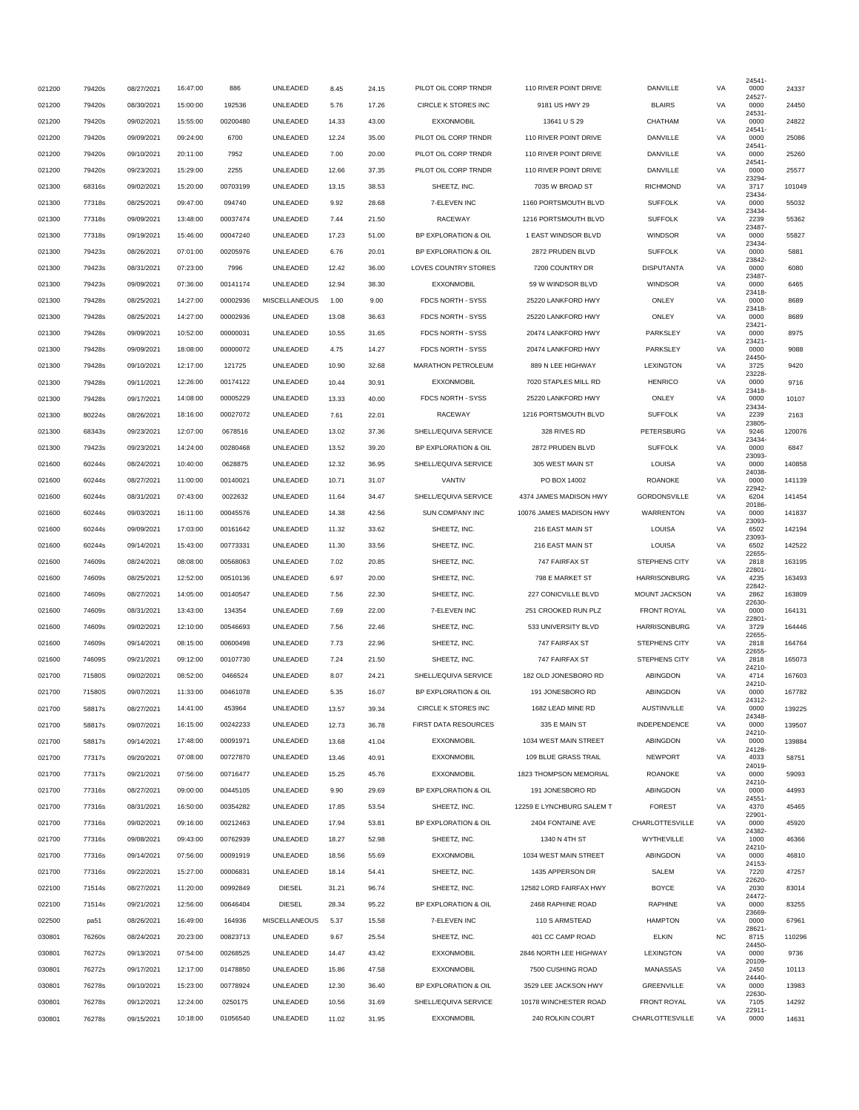|        |        |            |          |          | UNLEADED             |       |       | PILOT OIL CORP TRNDR | 110 RIVER POINT DRIVE     | DANVILLE            |           | 24541-         |        |
|--------|--------|------------|----------|----------|----------------------|-------|-------|----------------------|---------------------------|---------------------|-----------|----------------|--------|
| 021200 | 79420s | 08/27/2021 | 16:47:00 | 886      |                      | 8.45  | 24.15 |                      |                           |                     | VA        | 0000<br>24527  | 24337  |
| 021200 | 79420s | 08/30/2021 | 15:00:00 | 192536   | UNLEADED             | 5.76  | 17.26 | CIRCLE K STORES INC  | 9181 US HWY 29            | <b>BLAIRS</b>       | VA        | 0000<br>24531  | 24450  |
| 021200 | 79420s | 09/02/2021 | 15:55:00 | 00200480 | UNLEADED             | 14.33 | 43.00 | <b>EXXONMOBIL</b>    | 13641 U S 29              | CHATHAM             | VA        | 0000<br>24541  | 24822  |
| 021200 | 79420s | 09/09/2021 | 09:24:00 | 6700     | UNLEADED             | 12.24 | 35.00 | PILOT OIL CORP TRNDR | 110 RIVER POINT DRIVE     | DANVILLE            | VA        | 0000<br>24541  | 25086  |
| 021200 | 79420s | 09/10/2021 | 20:11:00 | 7952     | UNLEADED             | 7.00  | 20.00 | PILOT OIL CORP TRNDR | 110 RIVER POINT DRIVE     | DANVILLE            | VA        | 0000<br>24541- | 25260  |
| 021200 | 79420s | 09/23/2021 | 15:29:00 | 2255     | UNLEADED             | 12.66 | 37.35 | PILOT OIL CORP TRNDR | 110 RIVER POINT DRIVE     | DANVILLE            | VA        | 0000<br>23294- | 25577  |
| 021300 | 68316s | 09/02/2021 | 15:20:00 | 00703199 | UNLEADED             | 13.15 | 38.53 | SHEETZ, INC.         | 7035 W BROAD ST           | RICHMOND            | VA        | 3717           | 101049 |
| 021300 | 77318s | 08/25/2021 | 09:47:00 | 094740   | UNLEADED             | 9.92  | 28.68 | 7-ELEVEN INC         | 1160 PORTSMOUTH BLVD      | <b>SUFFOLK</b>      | VA        | 23434<br>0000  | 55032  |
| 021300 | 77318s | 09/09/2021 | 13:48:00 | 00037474 | UNLEADED             | 7.44  | 21.50 | RACEWAY              | 1216 PORTSMOUTH BLVD      | <b>SUFFOLK</b>      | VA        | 23434-<br>2239 | 55362  |
| 021300 | 77318s | 09/19/2021 | 15:46:00 | 00047240 | UNLEADED             | 17.23 | 51.00 | BP EXPLORATION & OIL | 1 EAST WINDSOR BLVD       | <b>WINDSOR</b>      | VA        | 23487<br>0000  | 55827  |
| 021300 | 79423s | 08/26/2021 | 07:01:00 | 00205976 | UNLEADED             | 6.76  | 20.01 | BP EXPLORATION & OIL | 2872 PRUDEN BLVD          | <b>SUFFOLK</b>      | VA        | 23434<br>0000  | 5881   |
| 021300 | 79423s | 08/31/2021 | 07:23:00 | 7996     | UNLEADED             | 12.42 | 36.00 | LOVES COUNTRY STORES | 7200 COUNTRY DR           | <b>DISPUTANTA</b>   | VA        | 23842<br>0000  | 6080   |
| 021300 | 79423s | 09/09/2021 | 07:36:00 | 00141174 | UNLEADED             | 12.94 | 38.30 | <b>EXXONMOBIL</b>    | 59 W WINDSOR BLVD         | WINDSOR             | VA        | 23487-<br>0000 | 6465   |
| 021300 | 79428s | 08/25/2021 | 14:27:00 | 00002936 | <b>MISCELLANEOUS</b> | 1.00  | 9.00  | FDCS NORTH - SYSS    | 25220 LANKFORD HWY        | ONLEY               | VA        | 23418-<br>0000 | 8689   |
| 021300 | 79428s | 08/25/2021 | 14:27:00 | 00002936 | UNLEADED             | 13.08 | 36.63 | FDCS NORTH - SYSS    | 25220 LANKFORD HWY        | ONLEY               | VA        | 23418<br>0000  | 8689   |
|        |        |            |          |          |                      |       |       |                      |                           |                     |           | 23421-         |        |
| 021300 | 79428s | 09/09/2021 | 10:52:00 | 00000031 | UNLEADED             | 10.55 | 31.65 | FDCS NORTH - SYSS    | 20474 LANKFORD HWY        | PARKSLEY            | VA        | 0000<br>23421- | 8975   |
| 021300 | 79428s | 09/09/2021 | 18:08:00 | 00000072 | UNLEADED             | 4.75  | 14.27 | FDCS NORTH - SYSS    | 20474 LANKFORD HWY        | PARKSLEY            | VA        | 0000<br>24450  | 9088   |
| 021300 | 79428s | 09/10/2021 | 12:17:00 | 121725   | UNLEADED             | 10.90 | 32.68 | MARATHON PETROLEUM   | 889 N LEE HIGHWAY         | LEXINGTON           | VA        | 3725<br>23228  | 9420   |
| 021300 | 79428s | 09/11/2021 | 12:26:00 | 00174122 | UNLEADED             | 10.44 | 30.91 | <b>EXXONMOBIL</b>    | 7020 STAPLES MILL RD      | <b>HENRICO</b>      | VA        | 0000<br>23418  | 9716   |
| 021300 | 79428s | 09/17/2021 | 14:08:00 | 00005229 | UNLEADED             | 13.33 | 40.00 | FDCS NORTH - SYSS    | 25220 LANKFORD HWY        | ONLEY               | VA        | 0000<br>23434  | 10107  |
| 021300 | 80224s | 08/26/2021 | 18:16:00 | 00027072 | UNLEADED             | 7.61  | 22.01 | RACEWAY              | 1216 PORTSMOUTH BLVD      | <b>SUFFOLK</b>      | VA        | 2239<br>23805  | 2163   |
| 021300 | 68343s | 09/23/2021 | 12:07:00 | 0678516  | UNLEADED             | 13.02 | 37.36 | SHELL/EQUIVA SERVICE | 328 RIVES RD              | PETERSBURG          | VA        | 9246<br>23434  | 120076 |
| 021300 | 79423s | 09/23/2021 | 14:24:00 | 00280468 | UNLEADED             | 13.52 | 39.20 | BP EXPLORATION & OIL | 2872 PRUDEN BLVD          | <b>SUFFOLK</b>      | VA        | 0000           | 6847   |
| 021600 | 60244s | 08/24/2021 | 10:40:00 | 0628875  | UNLEADED             | 12.32 | 36.95 | SHELL/EQUIVA SERVICE | 305 WEST MAIN ST          | LOUISA              | VA        | 23093<br>0000  | 140858 |
| 021600 | 60244s | 08/27/2021 | 11:00:00 | 00140021 | UNLEADED             | 10.71 | 31.07 | VANTIV               | PO BOX 14002              | <b>ROANOKE</b>      | VA        | 24038-<br>0000 | 141139 |
| 021600 | 60244s | 08/31/2021 | 07:43:00 | 0022632  | UNLEADED             | 11.64 | 34.47 | SHELL/EQUIVA SERVICE | 4374 JAMES MADISON HWY    | <b>GORDONSVILLE</b> | VA        | 22942-<br>6204 | 141454 |
| 021600 | 60244s | 09/03/2021 | 16:11:00 | 00045576 | UNLEADED             | 14.38 | 42.56 | SUN COMPANY INC      | 10076 JAMES MADISON HWY   | <b>WARRENTON</b>    | VA        | 20186<br>0000  | 141837 |
| 021600 | 60244s | 09/09/2021 | 17:03:00 | 00161642 | UNLEADED             | 11.32 | 33.62 | SHEETZ, INC.         | 216 EAST MAIN ST          | LOUISA              | VA        | 23093<br>6502  | 142194 |
| 021600 | 60244s | 09/14/2021 | 15:43:00 | 00773331 | UNLEADED             | 11.30 | 33.56 | SHEETZ, INC.         | 216 EAST MAIN ST          | LOUISA              | VA        | 23093<br>6502  | 142522 |
| 021600 | 74609s | 08/24/2021 | 08:08:00 | 00568063 | UNLEADED             | 7.02  | 20.85 | SHEETZ, INC.         | 747 FAIRFAX ST            | STEPHENS CITY       | VA        | 22655-<br>2818 | 163195 |
| 021600 | 74609s | 08/25/2021 | 12:52:00 | 00510136 | UNLEADED             | 6.97  | 20.00 | SHEETZ, INC.         | 798 E MARKET ST           | <b>HARRISONBURG</b> | VA        | 22801-<br>4235 | 163493 |
|        |        |            |          |          |                      |       |       |                      |                           |                     |           | 22842          |        |
| 021600 | 74609s | 08/27/2021 | 14:05:00 | 00140547 | UNLEADED             | 7.56  | 22.30 | SHEETZ, INC.         | 227 CONICVILLE BLVD       | MOUNT JACKSON       | VA        | 2862<br>22630  | 163809 |
| 021600 | 74609s | 08/31/2021 | 13:43:00 | 134354   | UNLEADED             | 7.69  | 22.00 | 7-ELEVEN INC         | 251 CROOKED RUN PLZ       | FRONT ROYAL         | VA        | 0000<br>22801- | 164131 |
| 021600 | 74609s | 09/02/2021 | 12:10:00 | 00546693 | UNLEADED             | 7.56  | 22.46 | SHEETZ, INC.         | 533 UNIVERSITY BLVD       | <b>HARRISONBURG</b> | VA        | 3729<br>22655  | 164446 |
| 021600 | 74609s | 09/14/2021 | 08:15:00 | 00600498 | UNLEADED             | 7.73  | 22.96 | SHEETZ, INC.         | 747 FAIRFAX ST            | STEPHENS CITY       | VA        | 2818<br>22655  | 164764 |
| 021600 | 74609S | 09/21/2021 | 09:12:00 | 00107730 | UNLEADED             | 7.24  | 21.50 | SHEETZ, INC.         | 747 FAIRFAX ST            | STEPHENS CITY       | VA        | 2818<br>24210  | 165073 |
| 021700 | 71580S | 09/02/2021 | 08:52:00 | 0466524  | UNLEADED             | 8.07  | 24.21 | SHELL/EQUIVA SERVICE | 182 OLD JONESBORO RD      | ABINGDON            | VA        | 4714<br>24210- | 167603 |
| 021700 | 71580S | 09/07/2021 | 11:33:00 | 00461078 | UNLEADED             | 5.35  | 16.07 | BP EXPLORATION & OIL | 191 JONESBORO RD          | ABINGDON            | VA        | 0000<br>24312- | 167782 |
| 021700 | 58817s | 08/27/2021 | 14:41:00 | 453964   | UNLEADED             | 13.57 | 39.34 | CIRCLE K STORES INC  | 1682 LEAD MINE RD         | <b>AUSTINVILLE</b>  | VA        | 0000<br>24348- | 139225 |
| 021700 | 58817s | 09/07/2021 | 16:15:00 | 00242233 | UNLEADED             | 12.73 | 36.78 | FIRST DATA RESOURCES | 335 E MAIN ST             | INDEPENDENCE        | VA        | 0000           | 139507 |
| 021700 | 58817s | 09/14/2021 | 17:48:00 | 00091971 | UNLEADED             | 13.68 | 41.04 | <b>EXXONMOBIL</b>    | 1034 WEST MAIN STREET     | ABINGDON            | VA        | 24210-<br>0000 | 139884 |
| 021700 | 77317s | 09/20/2021 | 07:08:00 | 00727870 | UNLEADED             | 13.46 | 40.91 | <b>EXXONMOBIL</b>    | 109 BLUE GRASS TRAIL      | <b>NEWPORT</b>      | VA        | 24128-<br>4033 | 58751  |
| 021700 | 77317s | 09/21/2021 | 07:56:00 | 00716477 | UNLEADED             | 15.25 | 45.76 | <b>EXXONMOBIL</b>    | 1823 THOMPSON MEMORIAL    | <b>ROANOKE</b>      | VA        | 24019-<br>0000 | 59093  |
| 021700 | 77316s | 08/27/2021 | 09:00:00 | 00445105 | UNLEADED             | 9.90  | 29.69 | BP EXPLORATION & OIL | 191 JONESBORO RD          | ABINGDON            | VA        | 24210-<br>0000 | 44993  |
| 021700 | 77316s | 08/31/2021 | 16:50:00 | 00354282 | UNLEADED             | 17.85 | 53.54 | SHEETZ, INC.         | 12259 E LYNCHBURG SALEM T | <b>FOREST</b>       | VA        | 24551<br>4370  | 45465  |
| 021700 | 77316s | 09/02/2021 | 09:16:00 | 00212463 | UNLEADED             | 17.94 | 53.81 | BP EXPLORATION & OIL | 2404 FONTAINE AVE         | CHARLOTTESVILLE     | VA        | 22901-<br>0000 | 45920  |
| 021700 | 77316s | 09/08/2021 | 09:43:00 | 00762939 | UNLEADED             | 18.27 | 52.98 | SHEETZ, INC.         | 1340 N 4TH ST             | WYTHEVILLE          | VA        | 24382-<br>1000 | 46366  |
| 021700 | 77316s | 09/14/2021 | 07:56:00 | 00091919 | UNLEADED             | 18.56 | 55.69 | <b>EXXONMOBIL</b>    | 1034 WEST MAIN STREET     | ABINGDON            | VA        | 24210-<br>0000 | 46810  |
|        |        |            | 15:27:00 | 00006831 | UNLEADED             |       |       | SHEETZ, INC.         | 1435 APPERSON DR          | SALEM               | VA        | 24153-<br>7220 |        |
| 021700 | 77316s | 09/22/2021 |          |          |                      | 18.14 | 54.41 |                      |                           |                     |           | 22620          | 47257  |
| 022100 | 71514s | 08/27/2021 | 11:20:00 | 00992849 | <b>DIESEL</b>        | 31.21 | 96.74 | SHEETZ, INC.         | 12582 LORD FAIRFAX HWY    | <b>BOYCE</b>        | VA        | 2030<br>24472- | 83014  |
| 022100 | 71514s | 09/21/2021 | 12:56:00 | 00646404 | <b>DIESEL</b>        | 28.34 | 95.22 | BP EXPLORATION & OIL | 2468 RAPHINE ROAD         | <b>RAPHINE</b>      | VA        | 0000<br>23669  | 83255  |
| 022500 | pa51   | 08/26/2021 | 16:49:00 | 164936   | <b>MISCELLANEOUS</b> | 5.37  | 15.58 | 7-ELEVEN INC         | 110 S ARMSTEAD            | <b>HAMPTON</b>      | VA        | 0000<br>28621  | 67961  |
| 030801 | 76260s | 08/24/2021 | 20:23:00 | 00823713 | UNLEADED             | 9.67  | 25.54 | SHEETZ, INC.         | 401 CC CAMP ROAD          | <b>ELKIN</b>        | <b>NC</b> | 8715<br>24450  | 110296 |
| 030801 | 76272s | 09/13/2021 | 07:54:00 | 00268525 | UNLEADED             | 14.47 | 43.42 | <b>EXXONMOBIL</b>    | 2846 NORTH LEE HIGHWAY    | LEXINGTON           | VA        | 0000<br>20109  | 9736   |
| 030801 | 76272s | 09/17/2021 | 12:17:00 | 01478850 | UNLEADED             | 15.86 | 47.58 | <b>EXXONMOBIL</b>    | 7500 CUSHING ROAD         | <b>MANASSAS</b>     | VA        | 2450<br>24440  | 10113  |
| 030801 | 76278s | 09/10/2021 | 15:23:00 | 00778924 | UNLEADED             | 12.30 | 36.40 | BP EXPLORATION & OIL | 3529 LEE JACKSON HWY      | <b>GREENVILLE</b>   | VA        | 0000<br>22630  | 13983  |
| 030801 | 76278s | 09/12/2021 | 12:24:00 | 0250175  | UNLEADED             | 10.56 | 31.69 | SHELL/EQUIVA SERVICE | 10178 WINCHESTER ROAD     | <b>FRONT ROYAL</b>  | VA        | 7105           | 14292  |
| 030801 | 76278s | 09/15/2021 | 10:18:00 | 01056540 | UNLEADED             | 11.02 | 31.95 | EXXONMOBIL           | 240 ROLKIN COURT          | CHARLOTTESVILLE     | VA        | 22911-<br>0000 | 14631  |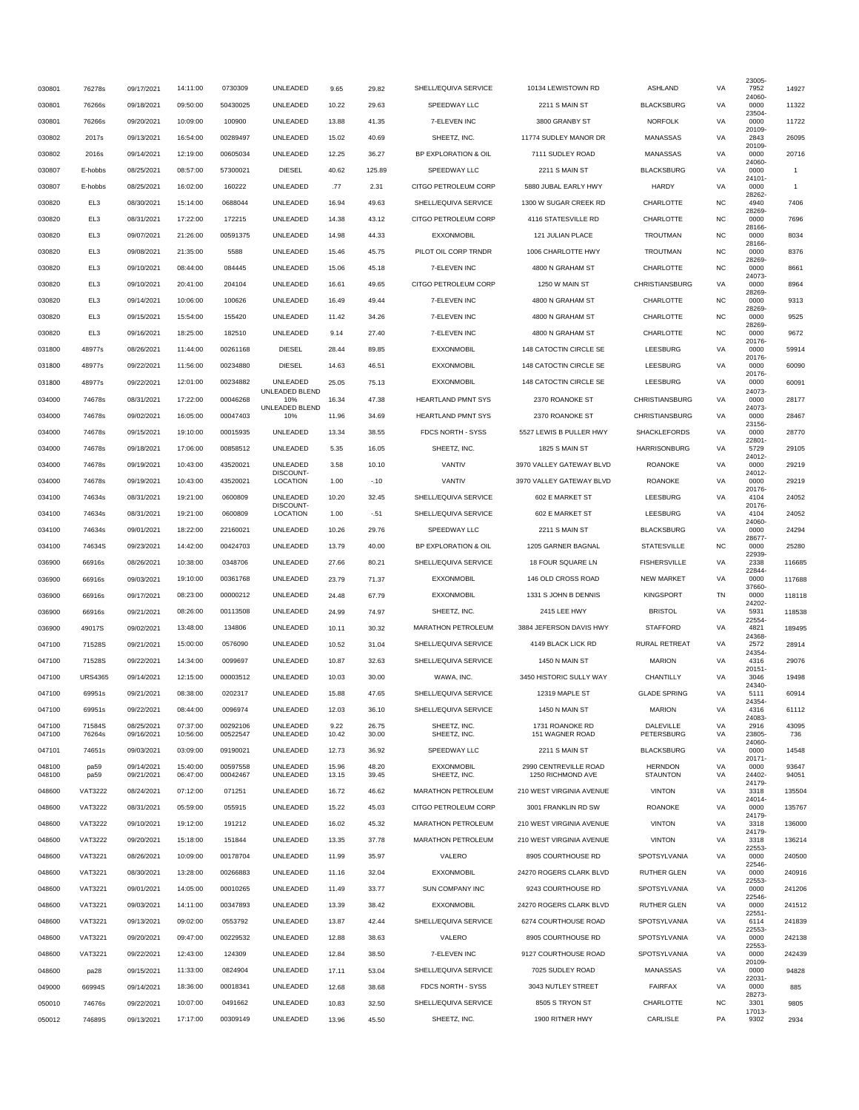| 030801           | 76278s          | 09/17/2021               | 14:11:00             | 0730309              | UNLEADED                   | 9.65           | 29.82          | SHELL/EQUIVA SERVICE              | 10134 LEWISTOWN RD                         | <b>ASHLAND</b>                    | VA        | 23005-<br>7952  | 14927          |
|------------------|-----------------|--------------------------|----------------------|----------------------|----------------------------|----------------|----------------|-----------------------------------|--------------------------------------------|-----------------------------------|-----------|-----------------|----------------|
| 030801           | 76266s          | 09/18/2021               | 09:50:00             | 50430025             | UNLEADED                   | 10.22          | 29.63          | SPEEDWAY LLC                      | 2211 S MAIN ST                             | <b>BLACKSBURG</b>                 | VA        | 24060-<br>0000  | 11322          |
| 030801           | 76266s          | 09/20/2021               | 10:09:00             | 100900               | UNLEADED                   | 13.88          | 41.35          | 7-ELEVEN INC                      | 3800 GRANBY ST                             | <b>NORFOLK</b>                    | VA        | 23504-<br>0000  | 11722          |
| 030802           | 2017s           | 09/13/2021               | 16:54:00             | 00289497             | UNLEADED                   | 15.02          | 40.69          | SHEETZ, INC.                      | 11774 SUDLEY MANOR DR                      | MANASSAS                          | VA        | 20109-<br>2843  | 26095          |
| 030802           | 2016s           | 09/14/2021               | 12:19:00             | 00605034             | UNLEADED                   | 12.25          | 36.27          | BP EXPLORATION & OIL              | 7111 SUDLEY ROAD                           | MANASSAS                          | VA        | 20109-<br>0000  | 20716          |
| 030807           | E-hobbs         | 08/25/2021               | 08:57:00             | 57300021             | <b>DIESEL</b>              | 40.62          | 125.89         | SPEEDWAY LLC                      | 2211 S MAIN ST                             | <b>BLACKSBURG</b>                 | VA        | 24060-<br>0000  | $\mathbf{1}$   |
| 030807           | E-hobbs         | 08/25/2021               | 16:02:00             | 160222               | UNLEADED                   | .77            | 2.31           | CITGO PETROLEUM CORP              | 5880 JUBAL EARLY HWY                       | <b>HARDY</b>                      | VA        | 24101-<br>0000  | $\mathbf{1}$   |
| 030820           | EL3             | 08/30/2021               | 15:14:00             | 0688044              | UNLEADED                   | 16.94          | 49.63          | SHELL/EQUIVA SERVICE              | 1300 W SUGAR CREEK RD                      | CHARLOTTE                         | <b>NC</b> | 28262-<br>4940  | 7406           |
| 030820           | EL <sub>3</sub> | 08/31/2021               | 17:22:00             | 172215               | UNLEADED                   | 14.38          | 43.12          | CITGO PETROLEUM CORP              | 4116 STATESVILLE RD                        | CHARLOTTE                         | <b>NC</b> | 28269-<br>0000  | 7696           |
| 030820           | EL3             | 09/07/2021               | 21:26:00             | 00591375             | UNLEADED                   | 14.98          | 44.33          | <b>EXXONMOBIL</b>                 | 121 JULIAN PLACE                           | TROUTMAN                          | <b>NC</b> | 28166-<br>0000  | 8034           |
|                  | EL3             |                          |                      | 5588                 |                            | 15.46          | 45.75          | PILOT OIL CORP TRNDR              |                                            |                                   |           | 28166-          | 8376           |
| 030820           |                 | 09/08/2021               | 21:35:00             |                      | UNLEADED                   |                |                |                                   | 1006 CHARLOTTE HWY                         | TROUTMAN                          | <b>NC</b> | 0000<br>28269-  |                |
| 030820           | EL3             | 09/10/2021               | 08:44:00             | 084445               | UNLEADED                   | 15.06          | 45.18          | 7-ELEVEN INC                      | 4800 N GRAHAM ST                           | CHARLOTTE                         | <b>NC</b> | 0000<br>24073-  | 8661           |
| 030820           | EL <sub>3</sub> | 09/10/2021               | 20:41:00             | 204104               | UNLEADED                   | 16.61          | 49.65          | CITGO PETROLEUM CORP              | 1250 W MAIN ST                             | CHRISTIANSBURG                    | VA        | 0000<br>28269-  | 8964           |
| 030820           | EL3             | 09/14/2021               | 10:06:00             | 100626               | UNLEADED                   | 16.49          | 49.44          | 7-ELEVEN INC                      | 4800 N GRAHAM ST                           | CHARLOTTE                         | <b>NC</b> | 0000<br>28269-  | 9313           |
| 030820           | EL3             | 09/15/2021               | 15:54:00             | 155420               | UNLEADED                   | 11.42          | 34.26          | 7-ELEVEN INC                      | 4800 N GRAHAM ST                           | CHARLOTTE                         | <b>NC</b> | 0000<br>28269-  | 9525           |
| 030820           | EL3             | 09/16/2021               | 18:25:00             | 182510               | UNLEADED                   | 9.14           | 27.40          | 7-ELEVEN INC                      | 4800 N GRAHAM ST                           | CHARLOTTE                         | NC        | 0000<br>20176-  | 9672           |
| 031800           | 48977s          | 08/26/2021               | 11:44:00             | 00261168             | <b>DIESEL</b>              | 28.44          | 89.85          | EXXONMOBIL                        | 148 CATOCTIN CIRCLE SE                     | LEESBURG                          | VA        | 0000<br>20176-  | 59914          |
| 031800           | 48977s          | 09/22/2021               | 11:56:00             | 00234880             | <b>DIESEL</b>              | 14.63          | 46.51          | <b>EXXONMOBIL</b>                 | 148 CATOCTIN CIRCLE SE                     | LEESBURG                          | VA        | 0000<br>20176-  | 60090          |
| 031800           | 48977s          | 09/22/2021               | 12:01:00             | 00234882             | UNLEADED<br>UNLEADED BLEND | 25.05          | 75.13          | <b>EXXONMOBIL</b>                 | 148 CATOCTIN CIRCLE SE                     | LEESBURG                          | VA        | 0000<br>24073-  | 60091          |
| 034000           | 74678s          | 08/31/2021               | 17:22:00             | 00046268             | 10%<br>UNLEADED BLEND      | 16.34          | 47.38          | <b>HEARTLAND PMNT SYS</b>         | 2370 ROANOKE ST                            | CHRISTIANSBURG                    | VA        | 0000<br>24073   | 28177          |
| 034000           | 74678s          | 09/02/2021               | 16:05:00             | 00047403             | 10%                        | 11.96          | 34.69          | <b>HEARTLAND PMNT SYS</b>         | 2370 ROANOKE ST                            | CHRISTIANSBURG                    | VA        | 0000<br>23156-  | 28467          |
| 034000           | 74678s          | 09/15/2021               | 19:10:00             | 00015935             | UNLEADED                   | 13.34          | 38.55          | FDCS NORTH - SYSS                 | 5527 LEWIS B PULLER HWY                    | <b>SHACKLEFORDS</b>               | VA        | 0000<br>22801-  | 28770          |
| 034000           | 74678s          | 09/18/2021               | 17:06:00             | 00858512             | UNLEADED                   | 5.35           | 16.05          | SHEETZ, INC.                      | 1825 S MAIN ST                             | <b>HARRISONBURG</b>               | VA        | 5729<br>24012-  | 29105          |
| 034000           | 74678s          | 09/19/2021               | 10:43:00             | 43520021             | UNLEADED<br>DISCOUNT-      | 3.58           | 10.10          | VANTIV                            | 3970 VALLEY GATEWAY BLVD                   | <b>ROANOKE</b>                    | VA        | 0000<br>24012-  | 29219          |
| 034000           | 74678s          | 09/19/2021               | 10:43:00             | 43520021             | LOCATION                   | 1.00           | $-.10$         | VANTIV                            | 3970 VALLEY GATEWAY BLVD                   | <b>ROANOKE</b>                    | VA        | 0000            | 29219          |
| 034100           | 74634s          | 08/31/2021               | 19:21:00             | 0600809              | UNLEADED                   | 10.20          | 32.45          | SHELL/EQUIVA SERVICE              | 602 E MARKET ST                            | LEESBURG                          | VA        | 20176-<br>4104  | 24052          |
| 034100           | 74634s          | 08/31/2021               | 19:21:00             | 0600809              | DISCOUNT-<br>LOCATION      | 1.00           | $-.51$         | SHELL/EQUIVA SERVICE              | 602 E MARKET ST                            | LEESBURG                          | VA        | 20176-<br>4104  | 24052          |
| 034100           | 74634s          | 09/01/2021               | 18:22:00             | 22160021             | UNLEADED                   | 10.26          | 29.76          | SPEEDWAY LLC                      | 2211 S MAIN ST                             | <b>BLACKSBURG</b>                 | VA        | 24060-<br>0000  | 24294          |
| 034100           | 74634S          | 09/23/2021               | 14:42:00             | 00424703             | UNLEADED                   | 13.79          | 40.00          | BP EXPLORATION & OIL              | 1205 GARNER BAGNAL                         | <b>STATESVILLE</b>                | <b>NC</b> | 28677-<br>0000  | 25280          |
| 036900           | 66916s          | 08/26/2021               | 10:38:00             | 0348706              | UNLEADED                   | 27.66          | 80.21          | SHELL/EQUIVA SERVICE              | 18 FOUR SQUARE LN                          | <b>FISHERSVILLE</b>               | VA        | 22939-<br>2338  | 116685         |
| 036900           | 66916s          | 09/03/2021               | 19:10:00             | 00361768             | UNLEADED                   | 23.79          | 71.37          | <b>EXXONMOBIL</b>                 | 146 OLD CROSS ROAD                         | <b>NEW MARKET</b>                 | VA        | 22844<br>0000   | 117688         |
| 036900           | 66916s          | 09/17/2021               | 08:23:00             | 00000212             | UNLEADED                   | 24.48          | 67.79          | <b>EXXONMOBIL</b>                 | 1331 S JOHN B DENNIS                       | <b>KINGSPORT</b>                  | TN        | 37660-<br>0000  | 118118         |
| 036900           | 66916s          | 09/21/2021               | 08:26:00             | 00113508             | UNLEADED                   | 24.99          | 74.97          | SHEETZ, INC.                      | 2415 LEE HWY                               | <b>BRISTOL</b>                    | VA        | 24202-<br>5931  | 118538         |
| 036900           | 49017S          | 09/02/2021               | 13:48:00             | 134806               | UNLEADED                   | 10.11          | 30.32          | <b>MARATHON PETROLEUM</b>         | 3884 JEFERSON DAVIS HWY                    | <b>STAFFORD</b>                   | VA        | 22554<br>4821   | 189495         |
| 047100           | 71528S          | 09/21/2021               | 15:00:00             | 0576090              | UNLEADED                   | 10.52          | 31.04          | SHELL/EQUIVA SERVICE              | 4149 BLACK LICK RD                         | RURAL RETREAT                     | VA        | 24368<br>2572   | 28914          |
| 047100           | 71528S          | 09/22/2021               | 14:34:00             | 0099697              | UNLEADED                   | 10.87          | 32.63          | SHELL/EQUIVA SERVICE              | 1450 N MAIN ST                             | <b>MARION</b>                     | VA        | 24354<br>4316   | 29076          |
| 047100           | <b>URS4365</b>  | 09/14/2021               | 12:15:00             | 00003512             | UNLEADED                   | 10.03          | 30.00          | WAWA, INC.                        | 3450 HISTORIC SULLY WAY                    | CHANTILLY                         | VA        | 20151-<br>3046  | 19498          |
| 047100           | 69951s          | 09/21/2021               | 08:38:00             | 0202317              | UNLEADED                   | 15.88          | 47.65          | SHELL/EQUIVA SERVICE              | 12319 MAPLE ST                             | <b>GLADE SPRING</b>               | VA        | 24340-<br>5111  | 60914          |
| 047100           | 69951s          | 09/22/2021               | 08:44:00             | 0096974              | UNLEADED                   | 12.03          | 36.10          | SHELL/EQUIVA SERVICE              | 1450 N MAIN ST                             | MARION                            | VA        | 24354<br>4316   | 61112          |
| 047100           | 71584S          | 08/25/2021               | 07:37:00             | 00292106             | UNLEADED                   | 9.22           | 26.75          | SHEETZ, INC.                      | 1731 ROANOKE RD                            | DALEVILLE                         | VA        | 24083-<br>2916  | 43095          |
| 047100           | 76264s          | 09/16/2021               | 10:56:00             | 00522547             | UNLEADED                   | 10.42          | 30.00          | SHEETZ, INC.                      | 151 WAGNER ROAD                            | PETERSBURG                        | VA        | 23805<br>24060- | 736            |
| 047101           | 74651s          | 09/03/2021               | 03:09:00             | 09190021             | UNLEADED                   | 12.73          | 36.92          | SPEEDWAY LLC                      | 2211 S MAIN ST                             | <b>BLACKSBURG</b>                 | VA        | 0000<br>20171-  | 14548          |
| 048100<br>048100 | pa59<br>pa59    | 09/14/2021<br>09/21/2021 | 15:40:00<br>06:47:00 | 00597558<br>00042467 | UNLEADED<br>UNLEADED       | 15.96<br>13.15 | 48.20<br>39.45 | <b>EXXONMOBIL</b><br>SHEETZ, INC. | 2990 CENTREVILLE ROAD<br>1250 RICHMOND AVE | <b>HERNDON</b><br><b>STAUNTON</b> | VA<br>VA  | 0000<br>24402-  | 93647<br>94051 |
| 048600           | <b>VAT3222</b>  |                          | 07:12:00             | 071251               | UNLEADED                   | 16.72          |                | <b>MARATHON PETROLEUM</b>         | 210 WEST VIRGINIA AVENUE                   | <b>VINTON</b>                     |           | 24179-          | 135504         |
|                  |                 | 08/24/2021               |                      |                      |                            |                | 46.62          |                                   |                                            |                                   | VA        | 3318<br>24014   |                |
| 048600           | <b>VAT3222</b>  | 08/31/2021               | 05:59:00             | 055915               | UNLEADED                   | 15.22          | 45.03          | CITGO PETROLEUM CORP              | 3001 FRANKLIN RD SW                        | <b>ROANOKE</b>                    | VA        | 0000<br>24179-  | 135767         |
| 048600           | <b>VAT3222</b>  | 09/10/2021               | 19:12:00             | 191212               | UNLEADED                   | 16.02          | 45.32          | <b>MARATHON PETROLEUM</b>         | 210 WEST VIRGINIA AVENUE                   | <b>VINTON</b>                     | VA        | 3318<br>24179-  | 136000         |
| 048600           | <b>VAT3222</b>  | 09/20/2021               | 15:18:00             | 151844               | UNLEADED                   | 13.35          | 37.78          | MARATHON PETROLEUM                | 210 WEST VIRGINIA AVENUE                   | <b>VINTON</b>                     | VA        | 3318<br>22553-  | 136214         |
| 048600           | <b>VAT3221</b>  | 08/26/2021               | 10:09:00             | 00178704             | UNLEADED                   | 11.99          | 35.97          | VALERO                            | 8905 COURTHOUSE RD                         | SPOTSYLVANIA                      | VA        | 0000<br>22546   | 240500         |
| 048600           | <b>VAT3221</b>  | 08/30/2021               | 13:28:00             | 00266883             | UNLEADED                   | 11.16          | 32.04          | <b>EXXONMOBIL</b>                 | 24270 ROGERS CLARK BLVD                    | <b>RUTHER GLEN</b>                | VA        | 0000<br>22553   | 240916         |
| 048600           | <b>VAT3221</b>  | 09/01/2021               | 14:05:00             | 00010265             | UNLEADED                   | 11.49          | 33.77          | SUN COMPANY INC                   | 9243 COURTHOUSE RD                         | SPOTSYLVANIA                      | VA        | 0000<br>22546-  | 241206         |
| 048600           | <b>VAT3221</b>  | 09/03/2021               | 14:11:00             | 00347893             | UNLEADED                   | 13.39          | 38.42          | <b>EXXONMOBIL</b>                 | 24270 ROGERS CLARK BLVD                    | RUTHER GLEN                       | VA        | 0000<br>22551-  | 241512         |
| 048600           | <b>VAT3221</b>  | 09/13/2021               | 09:02:00             | 0553792              | UNLEADED                   | 13.87          | 42.44          | SHELL/EQUIVA SERVICE              | 6274 COURTHOUSE ROAD                       | SPOTSYLVANIA                      | VA        | 6114<br>22553-  | 241839         |
| 048600           | <b>VAT3221</b>  | 09/20/2021               | 09:47:00             | 00229532             | UNLEADED                   | 12.88          | 38.63          | VALERO                            | 8905 COURTHOUSE RD                         | SPOTSYLVANIA                      | VA        | 0000<br>22553   | 242138         |
| 048600           | <b>VAT3221</b>  | 09/22/2021               | 12:43:00             | 124309               | UNLEADED                   | 12.84          | 38.50          | 7-ELEVEN INC                      | 9127 COURTHOUSE ROAD                       | SPOTSYLVANIA                      | VA        | 0000<br>20109-  | 242439         |
| 048600           | pa28            | 09/15/2021               | 11:33:00             | 0824904              | UNLEADED                   | 17.11          | 53.04          | SHELL/EQUIVA SERVICE              | 7025 SUDLEY ROAD                           | MANASSAS                          | VA        | 0000<br>22031-  | 94828          |
| 049000           | 66994S          | 09/14/2021               | 18:36:00             | 00018341             | UNLEADED                   | 12.68          | 38.68          | FDCS NORTH - SYSS                 | 3043 NUTLEY STREET                         | <b>FAIRFAX</b>                    | VA        | 0000<br>28273-  | 885            |
| 050010           | 74676s          | 09/22/2021               | 10:07:00             | 0491662              | UNLEADED                   | 10.83          | 32.50          | SHELL/EQUIVA SERVICE              | 8505 S TRYON ST                            | CHARLOTTE                         | <b>NC</b> | 3301<br>17013-  | 9805           |
| 050012           | 74689S          | 09/13/2021               | 17:17:00             | 00309149             | UNLEADED                   | 13.96          | 45.50          | SHEETZ, INC.                      | 1900 RITNER HWY                            | CARLISLE                          | PA        | 9302            | 2934           |